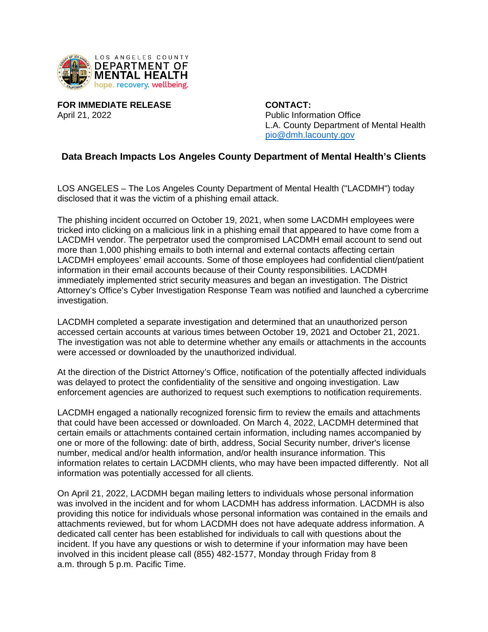

**FOR IMMEDIATE RELEASE CONTACT:** April 21, 2022 Public Information Office

L.A. County Department of Mental Health [pio@dmh.lacounty.gov](mailto:pio@dmh.lacounty.gov)

## **Data Breach Impacts Los Angeles County Department of Mental Health's Clients**

LOS ANGELES – The Los Angeles County Department of Mental Health ("LACDMH") today disclosed that it was the victim of a phishing email attack.

The phishing incident occurred on October 19, 2021, when some LACDMH employees were tricked into clicking on a malicious link in a phishing email that appeared to have come from a LACDMH vendor. The perpetrator used the compromised LACDMH email account to send out more than 1,000 phishing emails to both internal and external contacts affecting certain LACDMH employees' email accounts. Some of those employees had confidential client/patient information in their email accounts because of their County responsibilities. LACDMH immediately implemented strict security measures and began an investigation. The District Attorney's Office's Cyber Investigation Response Team was notified and launched a cybercrime investigation.

LACDMH completed a separate investigation and determined that an unauthorized person accessed certain accounts at various times between October 19, 2021 and October 21, 2021. The investigation was not able to determine whether any emails or attachments in the accounts were accessed or downloaded by the unauthorized individual.

At the direction of the District Attorney's Office, notification of the potentially affected individuals was delayed to protect the confidentiality of the sensitive and ongoing investigation. Law enforcement agencies are authorized to request such exemptions to notification requirements.

LACDMH engaged a nationally recognized forensic firm to review the emails and attachments that could have been accessed or downloaded. On March 4, 2022, LACDMH determined that certain emails or attachments contained certain information, including names accompanied by one or more of the following: date of birth, address, Social Security number, driver's license number, medical and/or health information, and/or health insurance information. This information relates to certain LACDMH clients, who may have been impacted differently. Not all information was potentially accessed for all clients.

On April 21, 2022, LACDMH began mailing letters to individuals whose personal information was involved in the incident and for whom LACDMH has address information. LACDMH is also providing this notice for individuals whose personal information was contained in the emails and attachments reviewed, but for whom LACDMH does not have adequate address information. A dedicated call center has been established for individuals to call with questions about the incident. If you have any questions or wish to determine if your information may have been involved in this incident please call (855) 482-1577, Monday through Friday from 8 a.m. through 5 p.m. Pacific Time.